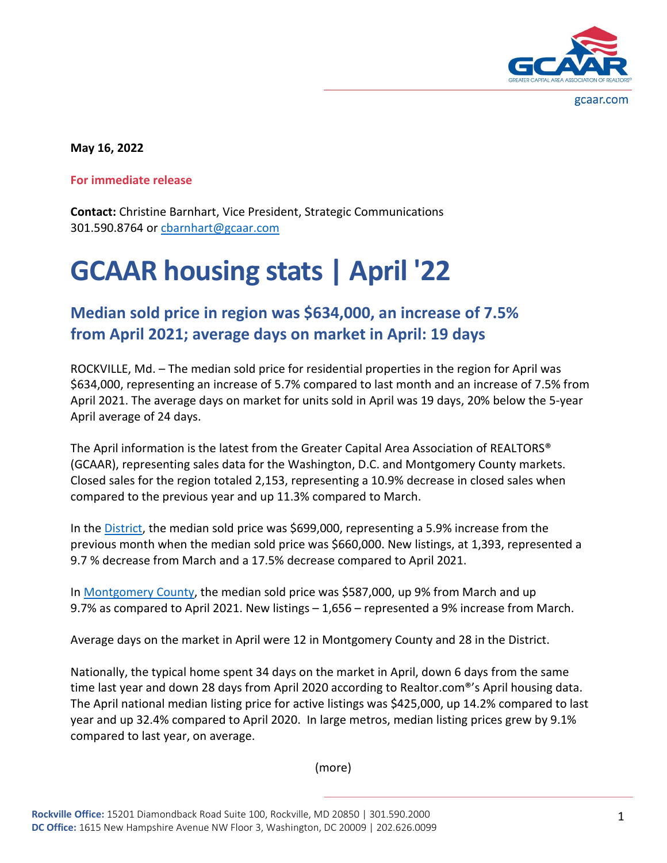

gcaar.com

**May 16, 2022**

**For immediate release**

**Contact:** Christine Barnhart, Vice President, Strategic Communications 301.590.8764 o[r cbarnhart@gcaar.com](mailto:cbarnhart@gcaar.com)

## **GCAAR housing stats | April '22**

## **Median sold price in region was \$634,000, an increase of 7.5% from April 2021; average days on market in April: 19 days**

ROCKVILLE, Md. – The median sold price for residential properties in the region for April was \$634,000, representing an increase of 5.7% compared to last month and an increase of 7.5% from April 2021. The average days on market for units sold in April was 19 days, 20% below the 5-year April average of 24 days.

The April information is the latest from the Greater Capital Area Association of REALTORS® (GCAAR), representing sales data for the Washington, D.C. and Montgomery County markets. Closed sales for the region totaled 2,153, representing a 10.9% decrease in closed sales when compared to the previous year and up 11.3% compared to March.

In the [District,](https://gcaar.com/docs/default-source/dc-market-reports/2022/april-2022-dc.pdf?sfvrsn=84914b92_2) the median sold price was \$699,000, representing a 5.9% increase from the previous month when the median sold price was \$660,000. New listings, at 1,393, represented a 9.7 % decrease from March and a 17.5% decrease compared to April 2021.

In [Montgomery County,](https://gcaar.com/docs/default-source/montgomery-county-market-reports/2022/april-2022-montgomery-county.pdf?sfvrsn=ae914b92_2) the median sold price was \$587,000, up 9% from March and up 9.7% as compared to April 2021. New listings – 1,656 – represented a 9% increase from March.

Average days on the market in April were 12 in Montgomery County and 28 in the District.

Nationally, the typical home spent 34 days on the market in April, down 6 days from the same time last year and down 28 days from April 2020 according to Realtor.com®'s April housing data. The April national median listing price for active listings was \$425,000, up 14.2% compared to last year and up 32.4% compared to April 2020. In large metros, median listing prices grew by 9.1% compared to last year, on average.

(more)